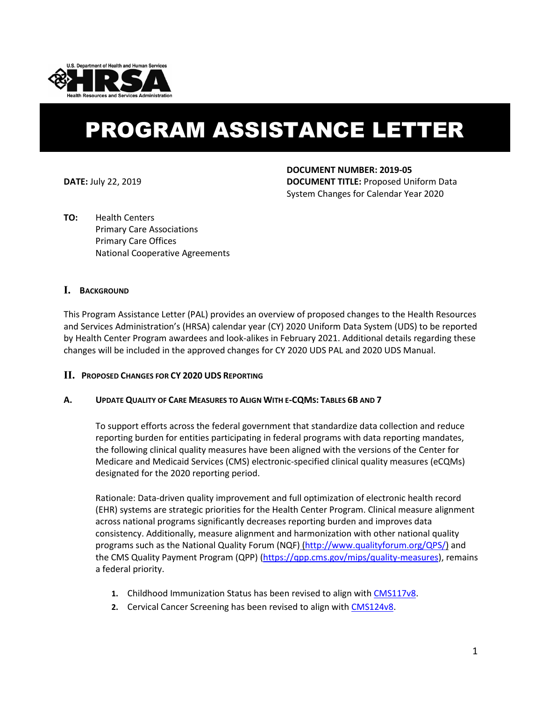

# PROGRAM ASSISTANCE LETTER

**DOCUMENT NUMBER: 2019-05 DATE:** July 22, 2019 **DOCUMENT TITLE:** Proposed Uniform Data System Changes for Calendar Year 2020

**TO:** Health Centers Primary Care Associations Primary Care Offices National Cooperative Agreements

# **I. BACKGROUND**

This Program Assistance Letter (PAL) provides an overview of proposed changes to the Health Resources and Services Administration's (HRSA) calendar year (CY) 2020 Uniform Data System (UDS) to be reported by Health Center Program awardees and look-alikes in February 2021. Additional details regarding these changes will be included in the approved changes for CY 2020 UDS PAL and 2020 UDS Manual.

## **II. PROPOSED CHANGES FOR CY 2020 UDS REPORTING**

## **A. UPDATE QUALITY OF CARE MEASURES TO ALIGN WITH E-CQMS: TABLES 6B AND 7**

To support efforts across the federal government that standardize data collection and reduce reporting burden for entities participating in federal programs with data reporting mandates, the following clinical quality measures have been aligned with the versions of the Center for Medicare and Medicaid Services (CMS) electronic-specified clinical quality measures (eCQMs) designated for the 2020 reporting period.

Rationale: Data-driven quality improvement and full optimization of electronic health record (EHR) systems are strategic priorities for the Health Center Program. Clinical measure alignment across national programs significantly decreases reporting burden and improves data consistency. Additionally, measure alignment and harmonization with other national quality programs such as the [National Quality Forum \(NQF\)](http://www.qualityforum.org/QPS/QPSTool.aspx) [\(http://www.qualityforum.org/QPS/\)](http://www.qualityforum.org/QPS/) and the [CMS](http://www.cms.gov/Regulations-and-Guidance/Legislation/EHRIncentivePrograms/index.html?redirect=/ehrincentiveprograms) Quality Payment Program (QPP) [\(https://qpp.cms.gov/mips/quality-measures\)](https://qpp.cms.gov/mips/quality-measures), remains a federal priority.

- **1.** Childhood Immunization Status has been revised to align wit[h CMS117v8.](https://ecqi.healthit.gov/ecqm/measures/cms117v8)
- **2.** Cervical Cancer Screening has been revised to align with [CMS124v8.](https://ecqi.healthit.gov/ecqm/measures/cms124v8)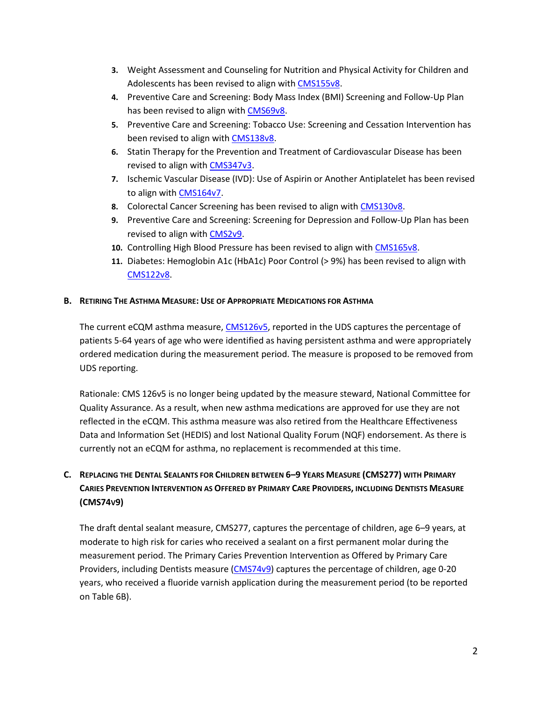- **3.** Weight Assessment and Counseling for Nutrition and Physical Activity for Children and Adolescents has been revised to align wit[h CMS155v8.](https://ecqi.healthit.gov/ecqm/measures/cms155v8)
- **4.** Preventive Care and Screening: Body Mass Index (BMI) Screening and Follow-Up Plan has been revised to align wit[h CMS69v8.](https://ecqi.healthit.gov/ecqm/measures/cms69v8)
- **5.** Preventive Care and Screening: Tobacco Use: Screening and Cessation Intervention has been revised to align with [CMS138v8.](https://ecqi.healthit.gov/ecqm/measures/cms138v8)
- **6.** Statin Therapy for the Prevention and Treatment of Cardiovascular Disease has been revised to align with [CMS347v3.](https://ecqi.healthit.gov/ecqm/measures/cms347v3)
- **7.** Ischemic Vascular Disease (IVD): Use of Aspirin or Another Antiplatelet has been revised to align with [CMS164v7.](https://ecqi.healthit.gov/ecqm/measures/cms164v7)
- **8.** Colorectal Cancer Screening has been revised to align with [CMS130v8.](https://ecqi.healthit.gov/ecqm/measures/cms130v8)
- **9.** Preventive Care and Screening: Screening for Depression and Follow-Up Plan has been revised to align with [CMS2v9.](https://ecqi.healthit.gov/ecqm/measures/cms2v9)
- **10.** Controlling High Blood Pressure has been revised to align with [CMS165v8.](https://ecqi.healthit.gov/ecqm/measures/cms165v8)
- **11.** Diabetes: Hemoglobin A1c (HbA1c) Poor Control (> 9%) has been revised to align with [CMS122v8.](https://ecqi.healthit.gov/ecqm/measures/cms122v8)

## **B. RETIRING THE ASTHMA MEASURE: USE OF APPROPRIATE MEDICATIONS FOR ASTHMA**

The current eCQM asthma measure, [CMS126v5,](https://ecqi.healthit.gov/ecqm/measures/cms126v5) reported in the UDS captures the percentage of patients 5-64 years of age who were identified as having persistent asthma and were appropriately ordered medication during the measurement period. The measure is proposed to be removed from UDS reporting.

Rationale: CMS 126v5 is no longer being updated by the measure steward, National Committee for Quality Assurance. As a result, when new asthma medications are approved for use they are not reflected in the eCQM. This asthma measure was also retired from the Healthcare Effectiveness Data and Information Set (HEDIS) and lost National Quality Forum (NQF) endorsement. As there is currently not an eCQM for asthma, no replacement is recommended at this time.

# **C. REPLACING THE DENTAL SEALANTS FOR CHILDREN BETWEEN 6–9 YEARS MEASURE (CMS277) WITH PRIMARY CARIES PREVENTION INTERVENTION AS OFFERED BY PRIMARY CARE PROVIDERS, INCLUDING DENTISTS MEASURE (CMS74V9)**

The draft dental sealant measure, CMS277, captures the percentage of children, age 6–9 years, at moderate to high risk for caries who received a sealant on a first permanent molar during the measurement period. The Primary Caries Prevention Intervention as Offered by Primary Care Providers, including Dentists measure [\(CMS74v9\)](https://ecqi.healthit.gov/ecqm/measures/cms74v9) captures the percentage of children, age 0-20 years, who received a fluoride varnish application during the measurement period (to be reported on Table 6B).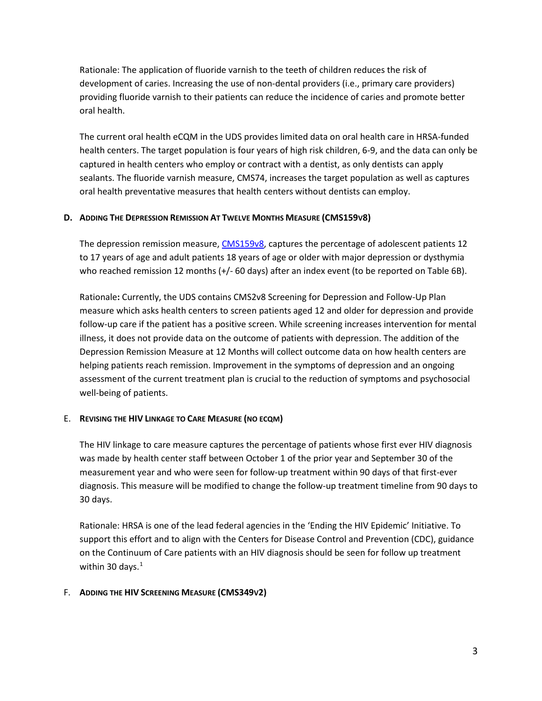Rationale: The application of fluoride varnish to the teeth of children reduces the risk of development of caries. Increasing the use of non-dental providers (i.e., primary care providers) providing fluoride varnish to their patients can reduce the incidence of caries and promote better oral health.

The current oral health eCQM in the UDS provides limited data on oral health care in HRSA-funded health centers. The target population is four years of high risk children, 6-9, and the data can only be captured in health centers who employ or contract with a dentist, as only dentists can apply sealants. The fluoride varnish measure, CMS74, increases the target population as well as captures oral health preventative measures that health centers without dentists can employ.

# **D. ADDING THE DEPRESSION REMISSION AT TWELVE MONTHS MEASURE (CMS159V8)**

The depression remission measure[, CMS159v8,](https://ecqi.healthit.gov/ecqm/measures/cms159v8) captures the percentage of adolescent patients 12 to 17 years of age and adult patients 18 years of age or older with major depression or dysthymia who reached remission 12 months (+/- 60 days) after an index event (to be reported on Table 6B).

Rationale**:** Currently, the UDS contains CMS2v8 Screening for Depression and Follow-Up Plan measure which asks health centers to screen patients aged 12 and older for depression and provide follow-up care if the patient has a positive screen. While screening increases intervention for mental illness, it does not provide data on the outcome of patients with depression. The addition of the Depression Remission Measure at 12 Months will collect outcome data on how health centers are helping patients reach remission. Improvement in the symptoms of depression and an ongoing assessment of the current treatment plan is crucial to the reduction of symptoms and psychosocial well-being of patients.

# E. **REVISING THE HIV LINKAGE TO CARE MEASURE (NO ECQM)**

The HIV linkage to care measure captures the percentage of patients whose first ever HIV diagnosis was made by health center staff between October 1 of the prior year and September 30 of the measurement year and who were seen for follow-up treatment within 90 days of that first-ever diagnosis. This measure will be modified to change the follow-up treatment timeline from 90 days to 30 days.

Rationale: HRSA is one of the lead federal agencies in the 'Ending the HIV Epidemic' Initiative. To support this effort and to align with the Centers for Disease Control and Prevention (CDC), guidance on the Continuum of Care patients with an HIV diagnosis should be seen for follow up treatment within 30 days. $1$ 

## F. **ADDING THE HIV SCREENING MEASURE (CMS349V2)**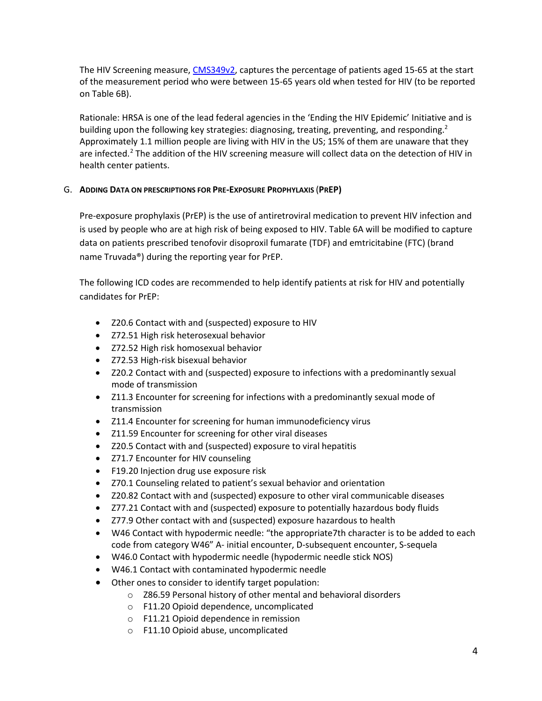The HIV Screening measure, [CMS349v2,](https://ecqi.healthit.gov/ecqm/measures/cms349v2) captures the percentage of patients aged 15-65 at the start of the measurement period who were between 15-65 years old when tested for HIV (to be reported on Table 6B).

Rationale: HRSA is one of the lead federal agencies in the 'Ending the HIV Epidemic' Initiative and is building upon the following key strategies: diagnosing, treating, preventing, and responding.<sup>2</sup> Approximately 1.1 million people are living with HIV in the US; 15% of them are unaware that they are infected.<sup>2</sup> The addition of the HIV screening measure will collect data on the detection of HIV in health center patients.

# G. **ADDING DATA ON PRESCRIPTIONS FOR PRE-EXPOSURE PROPHYLAXIS** (**PREP)**

Pre-exposure prophylaxis (PrEP) is the use of antiretroviral medication to prevent HIV infection and is used by people who are at high risk of being exposed to HIV. Table 6A will be modified to capture data on patients prescribed tenofovir disoproxil fumarate (TDF) and emtricitabine (FTC) (brand name Truvada®) during the reporting year for PrEP.

The following ICD codes are recommended to help identify patients at risk for HIV and potentially candidates for PrEP:

- Z20.6 Contact with and (suspected) exposure to HIV
- Z72.51 High risk heterosexual behavior
- Z72.52 High risk homosexual behavior
- Z72.53 High-risk bisexual behavior
- Z20.2 Contact with and (suspected) exposure to infections with a predominantly sexual mode of transmission
- Z11.3 Encounter for screening for infections with a predominantly sexual mode of transmission
- Z11.4 Encounter for screening for human immunodeficiency virus
- Z11.59 Encounter for screening for other viral diseases
- Z20.5 Contact with and (suspected) exposure to viral hepatitis
- Z71.7 Encounter for HIV counseling
- F19.20 Injection drug use exposure risk
- Z70.1 Counseling related to patient's sexual behavior and orientation
- Z20.82 Contact with and (suspected) exposure to other viral communicable diseases
- Z77.21 Contact with and (suspected) exposure to potentially hazardous body fluids
- Z77.9 Other contact with and (suspected) exposure hazardous to health
- W46 Contact with hypodermic needle: "the appropriate7th character is to be added to each code from category W46" A- initial encounter, D-subsequent encounter, S-sequela
- W46.0 Contact with hypodermic needle (hypodermic needle stick NOS)
- W46.1 Contact with contaminated hypodermic needle
- Other ones to consider to identify target population:
	- o Z86.59 Personal history of other mental and behavioral disorders
	- o F11.20 Opioid dependence, uncomplicated
	- o F11.21 Opioid dependence in remission
	- o F11.10 Opioid abuse, uncomplicated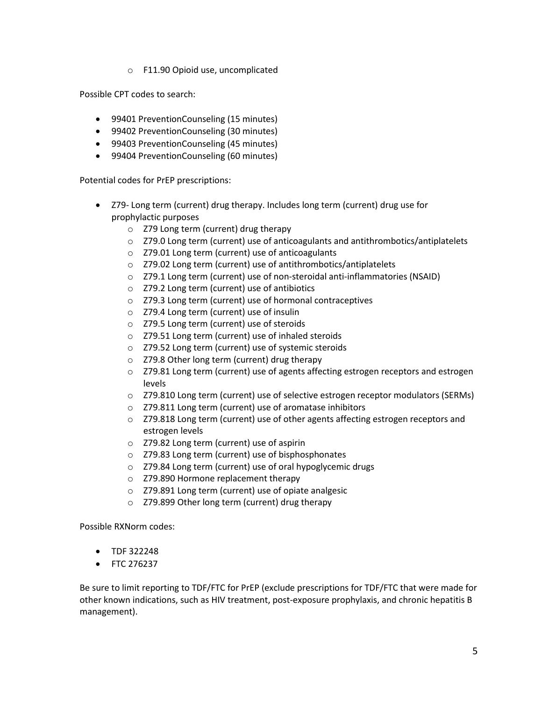o F11.90 Opioid use, uncomplicated

Possible CPT codes to search:

- 99401 PreventionCounseling (15 minutes)
- 99402 PreventionCounseling (30 minutes)
- 99403 PreventionCounseling (45 minutes)
- 99404 PreventionCounseling (60 minutes)

Potential codes for PrEP prescriptions:

- Z79- Long term (current) drug therapy. Includes long term (current) drug use for prophylactic purposes
	- o Z79 Long term (current) drug therapy
	- o Z79.0 Long term (current) use of anticoagulants and antithrombotics/antiplatelets
	- o Z79.01 Long term (current) use of anticoagulants
	- o Z79.02 Long term (current) use of antithrombotics/antiplatelets
	- o Z79.1 Long term (current) use of non-steroidal anti-inflammatories (NSAID)
	- o Z79.2 Long term (current) use of antibiotics
	- o Z79.3 Long term (current) use of hormonal contraceptives
	- o Z79.4 Long term (current) use of insulin
	- o Z79.5 Long term (current) use of steroids
	- o Z79.51 Long term (current) use of inhaled steroids
	- o Z79.52 Long term (current) use of systemic steroids
	- o Z79.8 Other long term (current) drug therapy
	- o Z79.81 Long term (current) use of agents affecting estrogen receptors and estrogen levels
	- $\circ$  Z79.810 Long term (current) use of selective estrogen receptor modulators (SERMs)
	- o Z79.811 Long term (current) use of aromatase inhibitors
	- $\circ$  Z79.818 Long term (current) use of other agents affecting estrogen receptors and estrogen levels
	- o Z79.82 Long term (current) use of aspirin
	- o Z79.83 Long term (current) use of bisphosphonates
	- o Z79.84 Long term (current) use of oral hypoglycemic drugs
	- o Z79.890 Hormone replacement therapy
	- o Z79.891 Long term (current) use of opiate analgesic
	- o Z79.899 Other long term (current) drug therapy

Possible RXNorm codes:

- TDF 322248
- FTC 276237

Be sure to limit reporting to TDF/FTC for PrEP (exclude prescriptions for TDF/FTC that were made for other known indications, such as HIV treatment, post-exposure prophylaxis, and chronic hepatitis B management).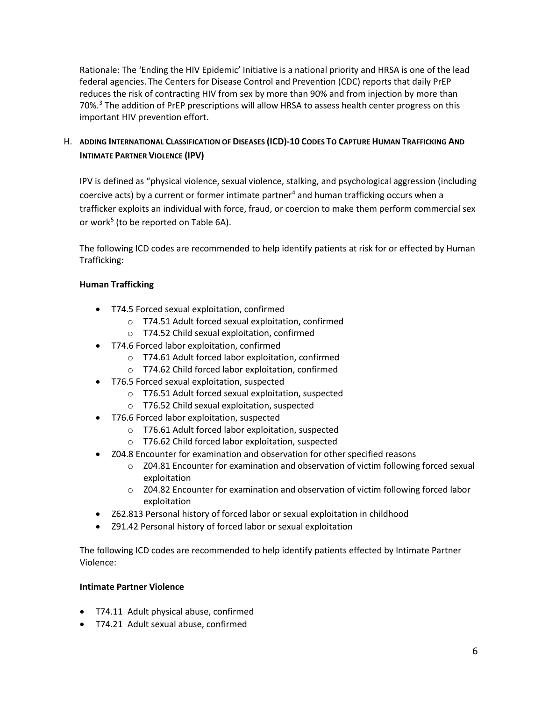Rationale: The 'Ending the HIV Epidemic' Initiative is a national priority and HRSA is one of the lead federal agencies. The Centers for Disease Control and Prevention (CDC) reports that daily PrEP reduces the risk of contracting HIV from sex by more than 90% and from injection by more than 70%.3 The addition of PrEP prescriptions will allow HRSA to assess health center progress on this important HIV prevention effort.

# H. **ADDING INTERNATIONAL CLASSIFICATION OF DISEASES (ICD)-10 CODES TO CAPTURE HUMAN TRAFFICKING AND INTIMATE PARTNER VIOLENCE (IPV)**

IPV is defined as "physical violence, sexual violence, stalking, and psychological aggression (including coercive acts) by a current or former intimate partner<sup>4</sup> and human trafficking occurs when a trafficker exploits an individual with force, fraud, or coercion to make them perform commercial sex or work<sup>5</sup> (to be reported on Table 6A).

The following ICD codes are recommended to help identify patients at risk for or effected by Human Trafficking:

# **Human Trafficking**

- T74.5 Forced sexual exploitation, confirmed
	- o T74.51 Adult forced sexual exploitation, confirmed
	- o T74.52 Child sexual exploitation, confirmed
- T74.6 Forced labor exploitation, confirmed
	- o T74.61 Adult forced labor exploitation, confirmed
	- o T74.62 Child forced labor exploitation, confirmed
- T76.5 Forced sexual exploitation, suspected
	- o T76.51 Adult forced sexual exploitation, suspected
	- o T76.52 Child sexual exploitation, suspected
- T76.6 Forced labor exploitation, suspected
	- o T76.61 Adult forced labor exploitation, suspected
	- o T76.62 Child forced labor exploitation, suspected
- Z04.8 Encounter for examination and observation for other specified reasons
	- o Z04.81 Encounter for examination and observation of victim following forced sexual exploitation
	- o Z04.82 Encounter for examination and observation of victim following forced labor exploitation
- Z62.813 Personal history of forced labor or sexual exploitation in childhood
- Z91.42 Personal history of forced labor or sexual exploitation

The following ICD codes are recommended to help identify patients effected by Intimate Partner Violence:

# **Intimate Partner Violence**

- T74.11 Adult physical abuse, confirmed
- T74.21 Adult sexual abuse, confirmed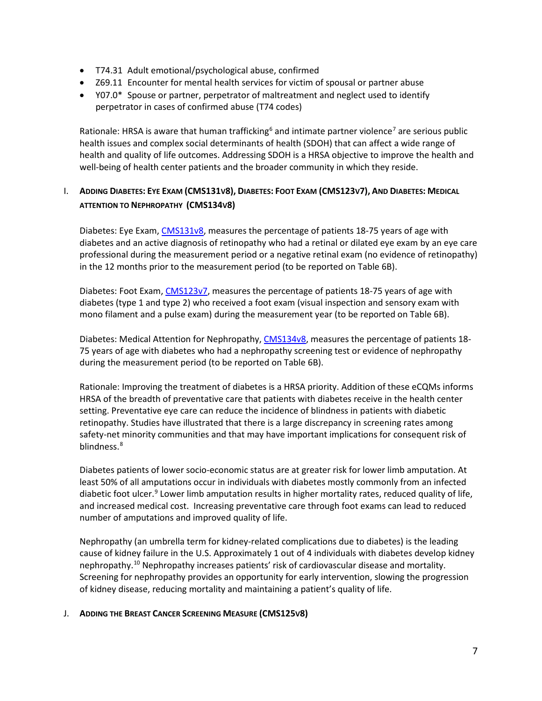- T74.31 Adult emotional/psychological abuse, confirmed
- Z69.11 Encounter for mental health services for victim of spousal or partner abuse
- Y07.0\* Spouse or partner, perpetrator of maltreatment and neglect used to identify perpetrator in cases of confirmed abuse (T74 codes)

Rationale: HRSA is aware that human trafficking<sup>6</sup> and intimate partner violence<sup>7</sup> are serious public health issues and complex social determinants of health (SDOH) that can affect a wide range of health and quality of life outcomes. Addressing SDOH is a HRSA objective to improve the health and well-being of health center patients and the broader community in which they reside.

# I. **ADDING DIABETES: EYE EXAM (CMS131V8), DIABETES: FOOT EXAM (CMS123V7), AND DIABETES: MEDICAL ATTENTION TO NEPHROPATHY (CMS134V8)**

Diabetes: Eye Exam[, CMS131v8,](https://ecqi.healthit.gov/ecqm/measures/cms131v8) measures the percentage of patients 18-75 years of age with diabetes and an active diagnosis of retinopathy who had a retinal or dilated eye exam by an eye care professional during the measurement period or a negative retinal exam (no evidence of retinopathy) in the 12 months prior to the measurement period (to be reported on Table 6B).

Diabetes: Foot Exam, [CMS123v7,](https://ecqi.healthit.gov/ecqm/measures/cms123v7) measures the percentage of patients 18-75 years of age with diabetes (type 1 and type 2) who received a foot exam (visual inspection and sensory exam with mono filament and a pulse exam) during the measurement year (to be reported on Table 6B).

Diabetes: Medical Attention for Nephropathy, [CMS134v8,](https://ecqi.healthit.gov/ecqm/measures/cms134v8) measures the percentage of patients 18- 75 years of age with diabetes who had a nephropathy screening test or evidence of nephropathy during the measurement period (to be reported on Table 6B).

Rationale: Improving the treatment of diabetes is a HRSA priority. Addition of these eCQMs informs HRSA of the breadth of preventative care that patients with diabetes receive in the health center setting. Preventative eye care can reduce the incidence of blindness in patients with diabetic retinopathy. Studies have illustrated that there is a large discrepancy in screening rates among safety-net minority communities and that may have important implications for consequent risk of blindness.<sup>8</sup>

Diabetes patients of lower socio-economic status are at greater risk for lower limb amputation. At least 50% of all amputations occur in individuals with diabetes mostly commonly from an infected diabetic foot ulcer.<sup>9</sup> Lower limb amputation results in higher mortality rates, reduced quality of life, and increased medical cost. Increasing preventative care through foot exams can lead to reduced number of amputations and improved quality of life.

Nephropathy (an umbrella term for kidney-related complications due to diabetes) is the leading cause of kidney failure in the U.S. Approximately 1 out of 4 individuals with diabetes develop kidney nephropathy.10 Nephropathy increases patients' risk of cardiovascular disease and mortality. Screening for nephropathy provides an opportunity for early intervention, slowing the progression of kidney disease, reducing mortality and maintaining a patient's quality of life.

## J. **ADDING THE BREAST CANCER SCREENING MEASURE (CMS125V8)**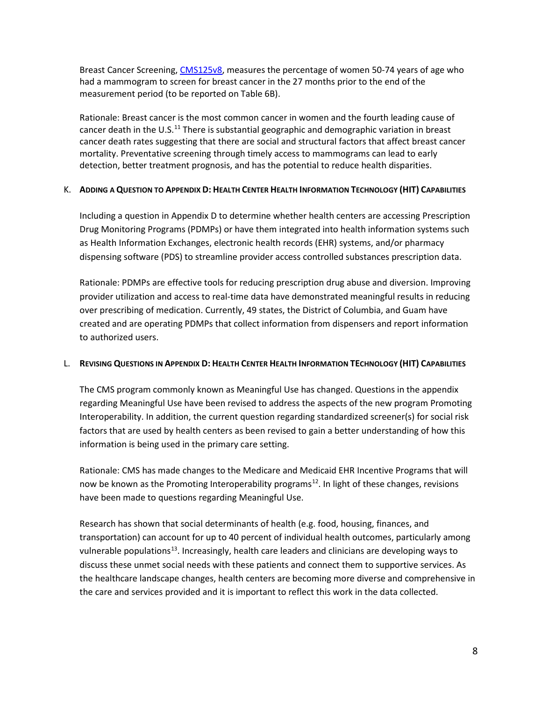Breast Cancer Screening, [CMS125v8,](https://ecqi.healthit.gov/ecqm/measures/cms125v8) measures the percentage of women 50-74 years of age who had a mammogram to screen for breast cancer in the 27 months prior to the end of the measurement period (to be reported on Table 6B).

Rationale: Breast cancer is the most common cancer in women and the fourth leading cause of cancer death in the U.S.<sup>11</sup> There is substantial geographic and demographic variation in breast cancer death rates suggesting that there are social and structural factors that affect breast cancer mortality. Preventative screening through timely access to mammograms can lead to early detection, better treatment prognosis, and has the potential to reduce health disparities.

# K. **ADDING A QUESTION TO APPENDIX D: HEALTH CENTER HEALTH INFORMATION TECHNOLOGY (HIT) CAPABILITIES**

Including a question in Appendix D to determine whether health centers are accessing Prescription Drug Monitoring Programs (PDMPs) or have them integrated into health information systems such as Health Information Exchanges, electronic health records (EHR) systems, and/or pharmacy dispensing software (PDS) to streamline provider access controlled substances prescription data.

Rationale: PDMPs are effective tools for reducing prescription drug abuse and diversion. Improving provider utilization and access to real-time data have demonstrated meaningful results in reducing over prescribing of medication. Currently, 49 states, the District of Columbia, and Guam have created and are operating PDMPs that collect information from dispensers and report information to authorized users.

## L. **REVISING QUESTIONS IN APPENDIX D: HEALTH CENTER HEALTH INFORMATION TECHNOLOGY (HIT) CAPABILITIES**

The CMS program commonly known as Meaningful Use has changed. Questions in the appendix regarding Meaningful Use have been revised to address the aspects of the new program Promoting Interoperability. In addition, the current question regarding standardized screener(s) for social risk factors that are used by health centers as been revised to gain a better understanding of how this information is being used in the primary care setting.

Rationale: CMS has made changes to the Medicare and Medicaid EHR Incentive Programs that will now be known as the Promoting Interoperability programs<sup>12</sup>. In light of these changes, revisions have been made to questions regarding Meaningful Use.

Research has shown that social determinants of health (e.g. food, housing, finances, and transportation) can account for up to 40 percent of individual health outcomes, particularly among vulnerable populations<sup>13</sup>. Increasingly, health care leaders and clinicians are developing ways to discuss these unmet social needs with these patients and connect them to supportive services. As the healthcare landscape changes, health centers are becoming more diverse and comprehensive in the care and services provided and it is important to reflect this work in the data collected.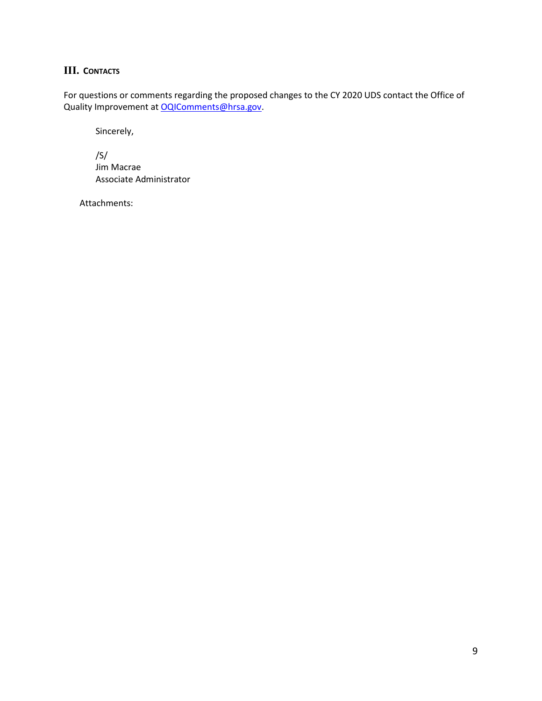# **III. CONTACTS**

For questions or comments regarding the proposed changes to the CY 2020 UDS contact the Office of Quality Improvement a[t OQIComments@hrsa.gov.](mailto:OQIComments@hrsa.gov)

Sincerely,

/S/ Jim Macrae Associate Administrator

Attachments: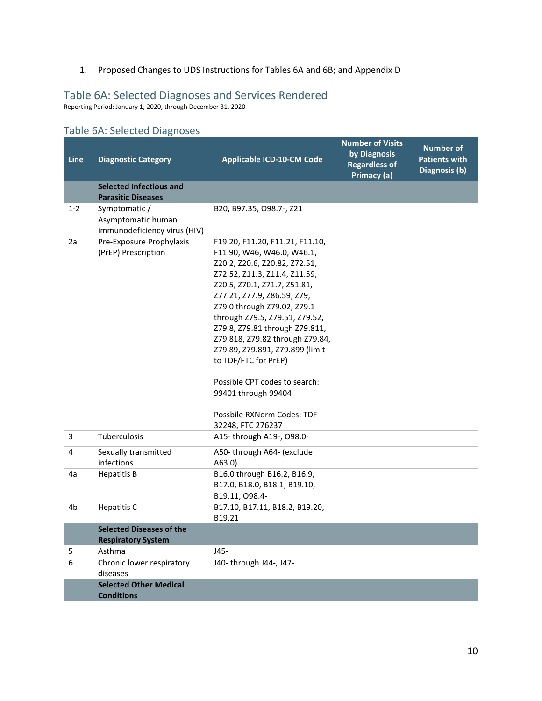1. Proposed Changes to UDS Instructions for Tables 6A and 6B; and Appendix D

# Table 6A: Selected Diagnoses and Services Rendered

Reporting Period: January 1, 2020, through December 31, 2020

| Line           | <b>Diagnostic Category</b>                                          | <b>Applicable ICD-10-CM Code</b>                                                                                                                                                                                                                                                                                                                                                                                                                                                                           | <b>Number of Visits</b><br>by Diagnosis<br><b>Regardless of</b><br>Primacy (a) | <b>Number of</b><br><b>Patients with</b><br>Diagnosis (b) |
|----------------|---------------------------------------------------------------------|------------------------------------------------------------------------------------------------------------------------------------------------------------------------------------------------------------------------------------------------------------------------------------------------------------------------------------------------------------------------------------------------------------------------------------------------------------------------------------------------------------|--------------------------------------------------------------------------------|-----------------------------------------------------------|
|                | <b>Selected Infectious and</b><br><b>Parasitic Diseases</b>         |                                                                                                                                                                                                                                                                                                                                                                                                                                                                                                            |                                                                                |                                                           |
| $1 - 2$        | Symptomatic /<br>Asymptomatic human<br>immunodeficiency virus (HIV) | B20, B97.35, O98.7-, Z21                                                                                                                                                                                                                                                                                                                                                                                                                                                                                   |                                                                                |                                                           |
| 2a             | Pre-Exposure Prophylaxis<br>(PrEP) Prescription                     | F19.20, F11.20, F11.21, F11.10,<br>F11.90, W46, W46.0, W46.1,<br>Z20.2, Z20.6, Z20.82, Z72.51,<br>Z72.52, Z11.3, Z11.4, Z11.59,<br>Z20.5, Z70.1, Z71.7, Z51.81,<br>Z77.21, Z77.9, Z86.59, Z79,<br>Z79.0 through Z79.02, Z79.1<br>through Z79.5, Z79.51, Z79.52,<br>Z79.8, Z79.81 through Z79.811,<br>Z79.818, Z79.82 through Z79.84,<br>Z79.89, Z79.891, Z79.899 (limit<br>to TDF/FTC for PrEP)<br>Possible CPT codes to search:<br>99401 through 99404<br>Possbile RXNorm Codes: TDF<br>32248, FTC 276237 |                                                                                |                                                           |
| 3              | Tuberculosis                                                        | A15-through A19-, O98.0-                                                                                                                                                                                                                                                                                                                                                                                                                                                                                   |                                                                                |                                                           |
| 4              | Sexually transmitted<br>infections                                  | A50-through A64- (exclude<br>A63.0                                                                                                                                                                                                                                                                                                                                                                                                                                                                         |                                                                                |                                                           |
| 4a             | <b>Hepatitis B</b>                                                  | B16.0 through B16.2, B16.9,<br>B17.0, B18.0, B18.1, B19.10,<br>B19.11, O98.4-                                                                                                                                                                                                                                                                                                                                                                                                                              |                                                                                |                                                           |
| 4 <sub>b</sub> | <b>Hepatitis C</b>                                                  | B17.10, B17.11, B18.2, B19.20,<br>B19.21                                                                                                                                                                                                                                                                                                                                                                                                                                                                   |                                                                                |                                                           |
|                | <b>Selected Diseases of the</b><br><b>Respiratory System</b>        |                                                                                                                                                                                                                                                                                                                                                                                                                                                                                                            |                                                                                |                                                           |
| 5              | Asthma                                                              | $J45-$                                                                                                                                                                                                                                                                                                                                                                                                                                                                                                     |                                                                                |                                                           |
| 6              | Chronic lower respiratory<br>diseases                               | J40- through J44-, J47-                                                                                                                                                                                                                                                                                                                                                                                                                                                                                    |                                                                                |                                                           |
|                | <b>Selected Other Medical</b><br><b>Conditions</b>                  |                                                                                                                                                                                                                                                                                                                                                                                                                                                                                                            |                                                                                |                                                           |

# Table 6A: Selected Diagnoses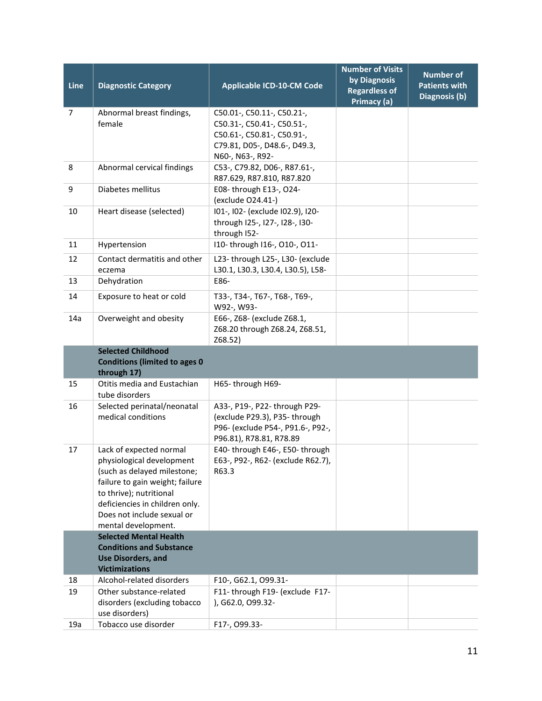| Line           | <b>Diagnostic Category</b>                                                                                                                                                                                                               | <b>Applicable ICD-10-CM Code</b>                                                                                                           | <b>Number of Visits</b><br>by Diagnosis<br><b>Regardless of</b><br>Primacy (a) | <b>Number of</b><br><b>Patients with</b><br>Diagnosis (b) |
|----------------|------------------------------------------------------------------------------------------------------------------------------------------------------------------------------------------------------------------------------------------|--------------------------------------------------------------------------------------------------------------------------------------------|--------------------------------------------------------------------------------|-----------------------------------------------------------|
| $\overline{7}$ | Abnormal breast findings,<br>female                                                                                                                                                                                                      | C50.01-, C50.11-, C50.21-,<br>C50.31-, C50.41-, C50.51-,<br>C50.61-, C50.81-, C50.91-,<br>C79.81, D05-, D48.6-, D49.3,<br>N60-, N63-, R92- |                                                                                |                                                           |
| 8              | Abnormal cervical findings                                                                                                                                                                                                               | C53-, C79.82, D06-, R87.61-,<br>R87.629, R87.810, R87.820                                                                                  |                                                                                |                                                           |
| 9              | Diabetes mellitus                                                                                                                                                                                                                        | E08-through E13-, O24-<br>(exclude O24.41-)                                                                                                |                                                                                |                                                           |
| 10             | Heart disease (selected)                                                                                                                                                                                                                 | I01-, I02- (exclude I02.9), I20-<br>through I25-, I27-, I28-, I30-<br>through I52-                                                         |                                                                                |                                                           |
| 11             | Hypertension                                                                                                                                                                                                                             | I10- through I16-, O10-, O11-                                                                                                              |                                                                                |                                                           |
| 12             | Contact dermatitis and other<br>eczema                                                                                                                                                                                                   | L23-through L25-, L30- (exclude<br>L30.1, L30.3, L30.4, L30.5), L58-                                                                       |                                                                                |                                                           |
| 13             | Dehydration                                                                                                                                                                                                                              | E86-                                                                                                                                       |                                                                                |                                                           |
| 14             | Exposure to heat or cold                                                                                                                                                                                                                 | T33-, T34-, T67-, T68-, T69-,<br>W92-, W93-                                                                                                |                                                                                |                                                           |
| 14a            | Overweight and obesity                                                                                                                                                                                                                   | E66-, Z68- (exclude Z68.1,<br>Z68.20 through Z68.24, Z68.51,<br>Z68.52)                                                                    |                                                                                |                                                           |
|                | <b>Selected Childhood</b><br><b>Conditions (limited to ages 0</b><br>through 17)                                                                                                                                                         |                                                                                                                                            |                                                                                |                                                           |
| 15             | Otitis media and Eustachian<br>tube disorders                                                                                                                                                                                            | H65-through H69-                                                                                                                           |                                                                                |                                                           |
| 16             | Selected perinatal/neonatal<br>medical conditions                                                                                                                                                                                        | A33-, P19-, P22- through P29-<br>(exclude P29.3), P35-through<br>P96- (exclude P54-, P91.6-, P92-,<br>P96.81), R78.81, R78.89              |                                                                                |                                                           |
| 17             | Lack of expected normal<br>physiological development<br>(such as delayed milestone;<br>failure to gain weight; failure<br>to thrive); nutritional<br>deficiencies in children only.<br>Does not include sexual or<br>mental development. | E40- through E46-, E50- through<br>E63-, P92-, R62- (exclude R62.7),<br>R63.3                                                              |                                                                                |                                                           |
|                | <b>Selected Mental Health</b><br><b>Conditions and Substance</b><br><b>Use Disorders, and</b><br><b>Victimizations</b>                                                                                                                   |                                                                                                                                            |                                                                                |                                                           |
| 18             | Alcohol-related disorders                                                                                                                                                                                                                | F10-, G62.1, O99.31-                                                                                                                       |                                                                                |                                                           |
| 19             | Other substance-related<br>disorders (excluding tobacco<br>use disorders)                                                                                                                                                                | F11- through F19- (exclude F17-<br>), G62.0, O99.32-                                                                                       |                                                                                |                                                           |
| 19a            | Tobacco use disorder                                                                                                                                                                                                                     | F17-, 099.33-                                                                                                                              |                                                                                |                                                           |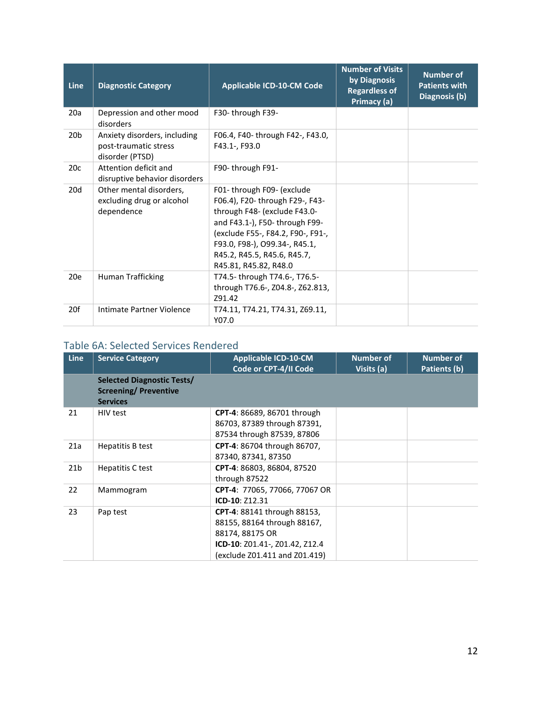| Line            | <b>Diagnostic Category</b>                                               | <b>Applicable ICD-10-CM Code</b>                                                                                                                                                                                                                             | <b>Number of Visits</b><br>by Diagnosis<br><b>Regardless of</b><br>Primacy (a) | <b>Number of</b><br><b>Patients with</b><br>Diagnosis (b) |
|-----------------|--------------------------------------------------------------------------|--------------------------------------------------------------------------------------------------------------------------------------------------------------------------------------------------------------------------------------------------------------|--------------------------------------------------------------------------------|-----------------------------------------------------------|
| 20a             | Depression and other mood<br>disorders                                   | F30-through F39-                                                                                                                                                                                                                                             |                                                                                |                                                           |
| 20 <sub>b</sub> | Anxiety disorders, including<br>post-traumatic stress<br>disorder (PTSD) | F06.4, F40- through F42-, F43.0,<br>F43.1-, F93.0                                                                                                                                                                                                            |                                                                                |                                                           |
| 20c             | Attention deficit and<br>disruptive behavior disorders                   | F90-through F91-                                                                                                                                                                                                                                             |                                                                                |                                                           |
| 20d             | Other mental disorders,<br>excluding drug or alcohol<br>dependence       | F01-through F09- (exclude<br>F06.4), F20- through F29-, F43-<br>through F48- (exclude F43.0-<br>and F43.1-), F50- through F99-<br>(exclude F55-, F84.2, F90-, F91-,<br>F93.0, F98-), O99.34-, R45.1,<br>R45.2, R45.5, R45.6, R45.7,<br>R45.81, R45.82, R48.0 |                                                                                |                                                           |
| 20e             | Human Trafficking                                                        | T74.5-through T74.6-, T76.5-<br>through T76.6-, Z04.8-, Z62.813,<br>Z91.42                                                                                                                                                                                   |                                                                                |                                                           |
| 20f             | Intimate Partner Violence                                                | T74.11, T74.21, T74.31, Z69.11,<br>Y07.0                                                                                                                                                                                                                     |                                                                                |                                                           |

# Table 6A: Selected Services Rendered

| <b>Line</b>     | <b>Service Category</b>                                                              | <b>Applicable ICD-10-CM</b><br>Code or CPT-4/II Code                                                                                                    | <b>Number of</b><br>Visits (a) | <b>Number of</b><br>Patients (b) |
|-----------------|--------------------------------------------------------------------------------------|---------------------------------------------------------------------------------------------------------------------------------------------------------|--------------------------------|----------------------------------|
|                 | <b>Selected Diagnostic Tests/</b><br><b>Screening/ Preventive</b><br><b>Services</b> |                                                                                                                                                         |                                |                                  |
| 21              | HIV test                                                                             | <b>CPT-4: 86689, 86701 through</b><br>86703, 87389 through 87391,<br>87534 through 87539, 87806                                                         |                                |                                  |
| 21a             | Hepatitis B test                                                                     | <b>CPT-4: 86704 through 86707,</b><br>87340, 87341, 87350                                                                                               |                                |                                  |
| 21 <sub>b</sub> | Hepatitis C test                                                                     | CPT-4: 86803, 86804, 87520<br>through 87522                                                                                                             |                                |                                  |
| 22              | Mammogram                                                                            | CPT-4: 77065, 77066, 77067 OR<br>ICD-10: Z12.31                                                                                                         |                                |                                  |
| 23              | Pap test                                                                             | <b>CPT-4: 88141 through 88153,</b><br>88155, 88164 through 88167,<br>88174, 88175 OR<br>ICD-10: Z01.41-, Z01.42, Z12.4<br>(exclude Z01.411 and Z01.419) |                                |                                  |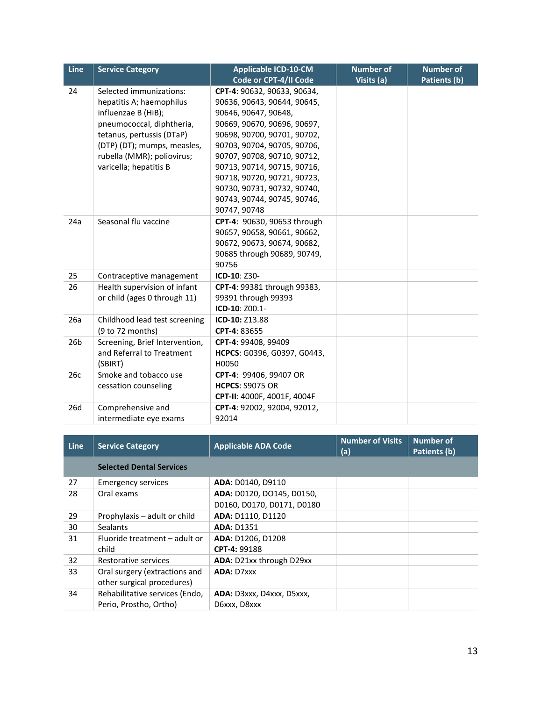| Line            | <b>Service Category</b>        | Applicable ICD-10-CM        | <b>Number of</b> | <b>Number of</b> |
|-----------------|--------------------------------|-----------------------------|------------------|------------------|
|                 |                                | Code or CPT-4/II Code       | Visits (a)       | Patients (b)     |
| 24              | Selected immunizations:        | CPT-4: 90632, 90633, 90634, |                  |                  |
|                 | hepatitis A; haemophilus       | 90636, 90643, 90644, 90645, |                  |                  |
|                 | influenzae B (HiB);            | 90646, 90647, 90648,        |                  |                  |
|                 | pneumococcal, diphtheria,      | 90669, 90670, 90696, 90697, |                  |                  |
|                 | tetanus, pertussis (DTaP)      | 90698, 90700, 90701, 90702, |                  |                  |
|                 | (DTP) (DT); mumps, measles,    | 90703, 90704, 90705, 90706, |                  |                  |
|                 | rubella (MMR); poliovirus;     | 90707, 90708, 90710, 90712, |                  |                  |
|                 | varicella; hepatitis B         | 90713, 90714, 90715, 90716, |                  |                  |
|                 |                                | 90718, 90720, 90721, 90723, |                  |                  |
|                 |                                | 90730, 90731, 90732, 90740, |                  |                  |
|                 |                                | 90743, 90744, 90745, 90746, |                  |                  |
|                 |                                | 90747, 90748                |                  |                  |
| 24a             | Seasonal flu vaccine           | CPT-4: 90630, 90653 through |                  |                  |
|                 |                                | 90657, 90658, 90661, 90662, |                  |                  |
|                 |                                | 90672, 90673, 90674, 90682, |                  |                  |
|                 |                                | 90685 through 90689, 90749, |                  |                  |
|                 |                                | 90756                       |                  |                  |
| 25              | Contraceptive management       | ICD-10: Z30-                |                  |                  |
| 26              | Health supervision of infant   | CPT-4: 99381 through 99383, |                  |                  |
|                 | or child (ages 0 through 11)   | 99391 through 99393         |                  |                  |
|                 |                                | ICD-10: Z00.1-              |                  |                  |
| 26a             | Childhood lead test screening  | ICD-10: Z13.88              |                  |                  |
|                 | (9 to 72 months)               | CPT-4: 83655                |                  |                  |
| 26 <sub>b</sub> | Screening, Brief Intervention, | CPT-4: 99408, 99409         |                  |                  |
|                 | and Referral to Treatment      | HCPCS: G0396, G0397, G0443, |                  |                  |
|                 | (SBIRT)                        | H0050                       |                  |                  |
| 26c             | Smoke and tobacco use          | CPT-4: 99406, 99407 OR      |                  |                  |
|                 | cessation counseling           | <b>HCPCS: S9075 OR</b>      |                  |                  |
|                 |                                | CPT-II: 4000F, 4001F, 4004F |                  |                  |
| 26d             | Comprehensive and              | CPT-4: 92002, 92004, 92012, |                  |                  |
|                 | intermediate eye exams         | 92014                       |                  |                  |

| <b>Line</b> | <b>Service Category</b>                                     | <b>Applicable ADA Code</b>                              | <b>Number of Visits</b><br>(a) | <b>Number of</b><br>Patients (b) |
|-------------|-------------------------------------------------------------|---------------------------------------------------------|--------------------------------|----------------------------------|
|             | <b>Selected Dental Services</b>                             |                                                         |                                |                                  |
| 27          | <b>Emergency services</b>                                   | ADA: D0140, D9110                                       |                                |                                  |
| 28          | Oral exams                                                  | ADA: D0120, DO145, D0150,<br>D0160, D0170, D0171, D0180 |                                |                                  |
| 29          | Prophylaxis – adult or child                                | ADA: D1110, D1120                                       |                                |                                  |
| 30          | <b>Sealants</b>                                             | <b>ADA: D1351</b>                                       |                                |                                  |
| 31          | Fluoride treatment - adult or<br>child                      | ADA: D1206, D1208<br>CPT-4: 99188                       |                                |                                  |
| 32          | Restorative services                                        | ADA: D21xx through D29xx                                |                                |                                  |
| 33          | Oral surgery (extractions and<br>other surgical procedures) | <b>ADA: D7xxx</b>                                       |                                |                                  |
| 34          | Rehabilitative services (Endo,                              | ADA: D3xxx, D4xxx, D5xxx,                               |                                |                                  |
|             | Perio, Prostho, Ortho)                                      | D6xxx, D8xxx                                            |                                |                                  |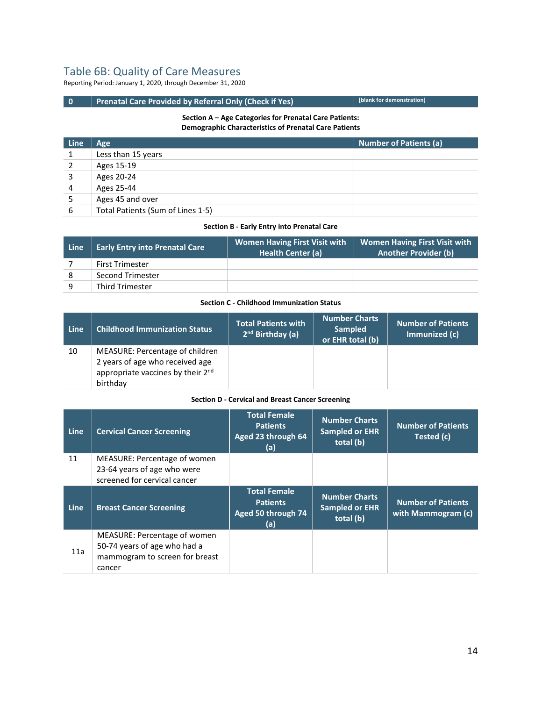# Table 6B: Quality of Care Measures

Reporting Period: January 1, 2020, through December 31, 2020

# **0** Prenatal Care Provided by Referral Only (Check if Yes) **[blank for demonstration**]

#### **Section A – Age Categories for Prenatal Care Patients: Demographic Characteristics of Prenatal Care Patients**

| <b>Line</b> | Age                               | <b>Number of Patients (a)</b> |
|-------------|-----------------------------------|-------------------------------|
|             | Less than 15 years                |                               |
|             | Ages 15-19                        |                               |
| 3           | Ages 20-24                        |                               |
| 4           | Ages 25-44                        |                               |
|             | Ages 45 and over                  |                               |
| 6           | Total Patients (Sum of Lines 1-5) |                               |

#### **Section B - Early Entry into Prenatal Care**

| Line | <b>Early Entry into Prenatal Care</b> | <b>Women Having First Visit with</b><br><b>Health Center (a)</b> | <b>Women Having First Visit with</b><br><b>Another Provider (b)</b> |
|------|---------------------------------------|------------------------------------------------------------------|---------------------------------------------------------------------|
|      | <b>First Trimester</b>                |                                                                  |                                                                     |
|      | Second Trimester                      |                                                                  |                                                                     |
| q    | <b>Third Trimester</b>                |                                                                  |                                                                     |

#### **Section C - Childhood Immunization Status**

| Line | <b>Childhood Immunization Status</b>                                                                                            | <b>Total Patients with</b><br>2 <sup>nd</sup> Birthday (a) | <b>Number Charts</b><br><b>Sampled</b><br>or EHR total (b) | <b>Number of Patients</b><br>Immunized (c) |
|------|---------------------------------------------------------------------------------------------------------------------------------|------------------------------------------------------------|------------------------------------------------------------|--------------------------------------------|
| 10   | MEASURE: Percentage of children<br>2 years of age who received age<br>appropriate vaccines by their 2 <sup>nd</sup><br>birthday |                                                            |                                                            |                                            |

#### **Section D - Cervical and Breast Cancer Screening**

| Line | <b>Cervical Cancer Screening</b>                                                                         | <b>Total Female</b><br><b>Patients</b><br>Aged 23 through 64<br>(a) | <b>Number Charts</b><br><b>Sampled or EHR</b><br>total (b) | <b>Number of Patients</b><br>Tested (c)         |
|------|----------------------------------------------------------------------------------------------------------|---------------------------------------------------------------------|------------------------------------------------------------|-------------------------------------------------|
| 11   | MEASURE: Percentage of women<br>23-64 years of age who were<br>screened for cervical cancer              |                                                                     |                                                            |                                                 |
| Line | <b>Breast Cancer Screening</b>                                                                           | <b>Total Female</b><br><b>Patients</b><br>Aged 50 through 74<br>(a) | <b>Number Charts</b><br><b>Sampled or EHR</b><br>total (b) | <b>Number of Patients</b><br>with Mammogram (c) |
| 11a  | MEASURE: Percentage of women<br>50-74 years of age who had a<br>mammogram to screen for breast<br>cancer |                                                                     |                                                            |                                                 |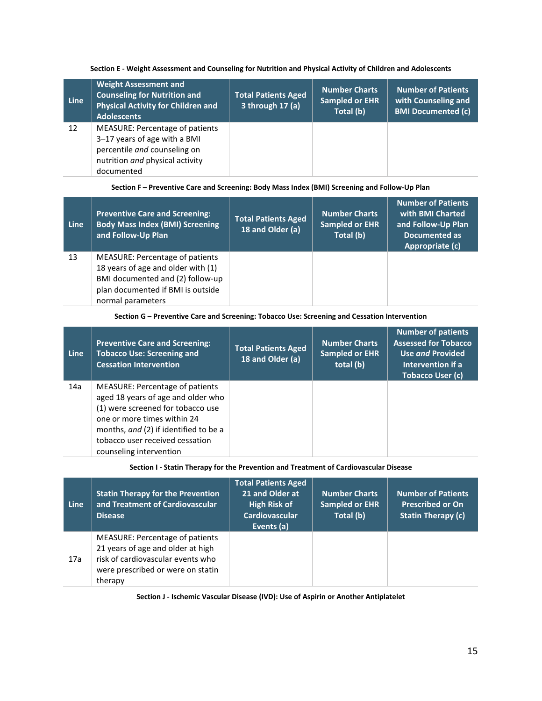#### **Section E - Weight Assessment and Counseling for Nutrition and Physical Activity of Children and Adolescents**

| Line | <b>Weight Assessment and</b><br><b>Counseling for Nutrition and</b><br><b>Physical Activity for Children and</b><br><b>Adolescents</b>                  | <b>Total Patients Aged</b><br>3 through 17 (a) | <b>Number Charts</b><br><b>Sampled or EHR</b><br>Total (b) | <b>Number of Patients</b><br>with Counseling and<br><b>BMI Documented (c)</b> |
|------|---------------------------------------------------------------------------------------------------------------------------------------------------------|------------------------------------------------|------------------------------------------------------------|-------------------------------------------------------------------------------|
| 12   | <b>MEASURE: Percentage of patients</b><br>3-17 years of age with a BMI<br>percentile and counseling on<br>nutrition and physical activity<br>documented |                                                |                                                            |                                                                               |

#### **Section F – Preventive Care and Screening: Body Mass Index (BMI) Screening and Follow-Up Plan**

| Line | <b>Preventive Care and Screening:</b><br><b>Body Mass Index (BMI) Screening</b><br>and Follow-Up Plan                                                               | <b>Total Patients Aged</b><br>18 and Older (a) | <b>Number Charts</b><br><b>Sampled or EHR</b><br>Total (b) | <b>Number of Patients</b><br>with BMI Charted<br>and Follow-Up Plan<br>Documented as<br>Appropriate (c) |
|------|---------------------------------------------------------------------------------------------------------------------------------------------------------------------|------------------------------------------------|------------------------------------------------------------|---------------------------------------------------------------------------------------------------------|
| 13   | MEASURE: Percentage of patients<br>18 years of age and older with (1)<br>BMI documented and (2) follow-up<br>plan documented if BMI is outside<br>normal parameters |                                                |                                                            |                                                                                                         |

#### **Section G – Preventive Care and Screening: Tobacco Use: Screening and Cessation Intervention**

| <b>Line</b> | <b>Preventive Care and Screening:</b><br><b>Tobacco Use: Screening and</b><br><b>Cessation Intervention</b>                                                                                                                                      | <b>Total Patients Aged</b><br>18 and Older (a) | <b>Number Charts</b><br><b>Sampled or EHR</b><br>total (b) | <b>Number of patients</b><br><b>Assessed for Tobacco</b><br>Use and Provided<br>Intervention if a<br><b>Tobacco User (c)</b> |
|-------------|--------------------------------------------------------------------------------------------------------------------------------------------------------------------------------------------------------------------------------------------------|------------------------------------------------|------------------------------------------------------------|------------------------------------------------------------------------------------------------------------------------------|
| 14a         | MEASURE: Percentage of patients<br>aged 18 years of age and older who<br>(1) were screened for tobacco use<br>one or more times within 24<br>months, and (2) if identified to be a<br>tobacco user received cessation<br>counseling intervention |                                                |                                                            |                                                                                                                              |

**Section I - Statin Therapy for the Prevention and Treatment of Cardiovascular Disease**

| Line | <b>Statin Therapy for the Prevention</b><br>and Treatment of Cardiovascular<br><b>Disease</b>                                                             | <b>Total Patients Aged</b><br>21 and Older at<br><b>High Risk of</b><br><b>Cardiovascular</b><br>Events (a) | <b>Number Charts</b><br>Sampled or EHR<br>Total (b) | <b>Number of Patients</b><br><b>Prescribed or On</b><br><b>Statin Therapy (c)</b> |
|------|-----------------------------------------------------------------------------------------------------------------------------------------------------------|-------------------------------------------------------------------------------------------------------------|-----------------------------------------------------|-----------------------------------------------------------------------------------|
| 17a  | MEASURE: Percentage of patients<br>21 years of age and older at high<br>risk of cardiovascular events who<br>were prescribed or were on statin<br>therapy |                                                                                                             |                                                     |                                                                                   |

**Section J - Ischemic Vascular Disease (IVD): Use of Aspirin or Another Antiplatelet**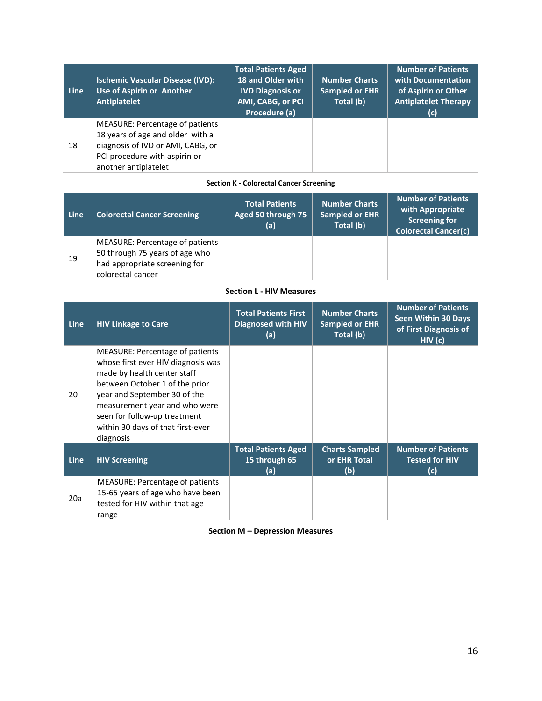| Line | <b>Ischemic Vascular Disease (IVD):</b><br>Use of Aspirin or Another<br>Antiplatelet                                                                                     | <b>Total Patients Aged</b><br>18 and Older with<br><b>IVD Diagnosis or</b><br>AMI, CABG, or PCI<br>Procedure (a) | <b>Number Charts</b><br><b>Sampled or EHR</b><br>Total (b) | <b>Number of Patients</b><br>with Documentation<br>of Aspirin or Other<br><b>Antiplatelet Therapy</b><br>(c) |
|------|--------------------------------------------------------------------------------------------------------------------------------------------------------------------------|------------------------------------------------------------------------------------------------------------------|------------------------------------------------------------|--------------------------------------------------------------------------------------------------------------|
| 18   | <b>MEASURE: Percentage of patients</b><br>18 years of age and older with a<br>diagnosis of IVD or AMI, CABG, or<br>PCI procedure with aspirin or<br>another antiplatelet |                                                                                                                  |                                                            |                                                                                                              |

#### **Section K - Colorectal Cancer Screening**

| Line | <b>Colorectal Cancer Screening</b>                                                                                      | <b>Total Patients</b><br>Aged 50 through 75<br>(a) | <b>Number Charts</b><br><b>Sampled or EHR</b><br>Total (b) | <b>Number of Patients</b><br>with Appropriate<br><b>Screening for</b><br><b>Colorectal Cancer(c)</b> |
|------|-------------------------------------------------------------------------------------------------------------------------|----------------------------------------------------|------------------------------------------------------------|------------------------------------------------------------------------------------------------------|
| 19   | MEASURE: Percentage of patients<br>50 through 75 years of age who<br>had appropriate screening for<br>colorectal cancer |                                                    |                                                            |                                                                                                      |

## **Section L - HIV Measures**

| <b>Line</b> | <b>HIV Linkage to Care</b>                                                                                                                                                                                                                                                                | <b>Total Patients First</b><br><b>Diagnosed with HIV</b><br>(a) | <b>Number Charts</b><br><b>Sampled or EHR</b><br>Total (b) | <b>Number of Patients</b><br><b>Seen Within 30 Days</b><br>of First Diagnosis of<br>HIV(C) |
|-------------|-------------------------------------------------------------------------------------------------------------------------------------------------------------------------------------------------------------------------------------------------------------------------------------------|-----------------------------------------------------------------|------------------------------------------------------------|--------------------------------------------------------------------------------------------|
| 20          | MEASURE: Percentage of patients<br>whose first ever HIV diagnosis was<br>made by health center staff<br>between October 1 of the prior<br>year and September 30 of the<br>measurement year and who were<br>seen for follow-up treatment<br>within 30 days of that first-ever<br>diagnosis |                                                                 |                                                            |                                                                                            |
| <b>Line</b> | <b>HIV Screening</b>                                                                                                                                                                                                                                                                      | <b>Total Patients Aged</b><br>15 through 65<br>(a)              | <b>Charts Sampled</b><br>or EHR Total<br>(b)               | <b>Number of Patients</b><br><b>Tested for HIV</b><br>(c)                                  |
| 20a         | <b>MEASURE: Percentage of patients</b><br>15-65 years of age who have been<br>tested for HIV within that age<br>range                                                                                                                                                                     |                                                                 |                                                            |                                                                                            |

**Section M – Depression Measures**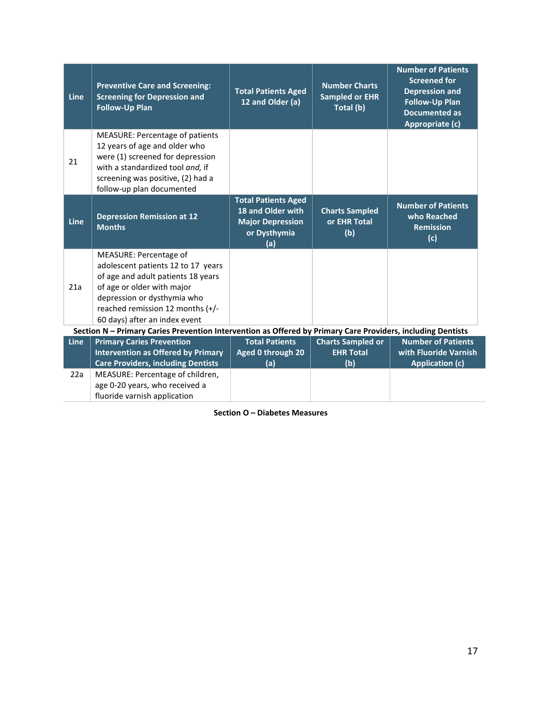| <b>Line</b> | <b>Preventive Care and Screening:</b><br><b>Screening for Depression and</b><br><b>Follow-Up Plan</b>                                                                                                                                | <b>Total Patients Aged</b><br>12 and Older (a)                                                    | <b>Number Charts</b><br><b>Sampled or EHR</b><br>Total (b) | <b>Number of Patients</b><br><b>Screened for</b><br><b>Depression and</b><br><b>Follow-Up Plan</b><br><b>Documented as</b><br>Appropriate (c) |
|-------------|--------------------------------------------------------------------------------------------------------------------------------------------------------------------------------------------------------------------------------------|---------------------------------------------------------------------------------------------------|------------------------------------------------------------|-----------------------------------------------------------------------------------------------------------------------------------------------|
| 21          | <b>MEASURE: Percentage of patients</b><br>12 years of age and older who<br>were (1) screened for depression<br>with a standardized tool and, if<br>screening was positive, (2) had a<br>follow-up plan documented                    |                                                                                                   |                                                            |                                                                                                                                               |
| Line        | <b>Depression Remission at 12</b><br><b>Months</b>                                                                                                                                                                                   | <b>Total Patients Aged</b><br>18 and Older with<br><b>Major Depression</b><br>or Dysthymia<br>(a) | <b>Charts Sampled</b><br>or EHR Total<br>(b)               | <b>Number of Patients</b><br>who Reached<br><b>Remission</b><br>(c)                                                                           |
| 21a         | MEASURE: Percentage of<br>adolescent patients 12 to 17 years<br>of age and adult patients 18 years<br>of age or older with major<br>depression or dysthymia who<br>reached remission 12 months (+/-<br>60 days) after an index event |                                                                                                   |                                                            |                                                                                                                                               |
|             | Section N - Primary Caries Prevention Intervention as Offered by Primary Care Providers, including Dentists                                                                                                                          |                                                                                                   |                                                            |                                                                                                                                               |
| <b>Line</b> | <b>Primary Caries Prevention</b><br><b>Intervention as Offered by Primary</b><br><b>Care Providers, including Dentists</b>                                                                                                           | <b>Total Patients</b><br>Aged 0 through 20<br>(a)                                                 | <b>Charts Sampled or</b><br><b>EHR Total</b><br>(b)        | <b>Number of Patients</b><br>with Fluoride Varnish<br><b>Application (c)</b>                                                                  |
| 22a         | MEASURE: Percentage of children,<br>age 0-20 years, who received a<br>fluoride varnish application                                                                                                                                   |                                                                                                   |                                                            |                                                                                                                                               |

**Section O – Diabetes Measures**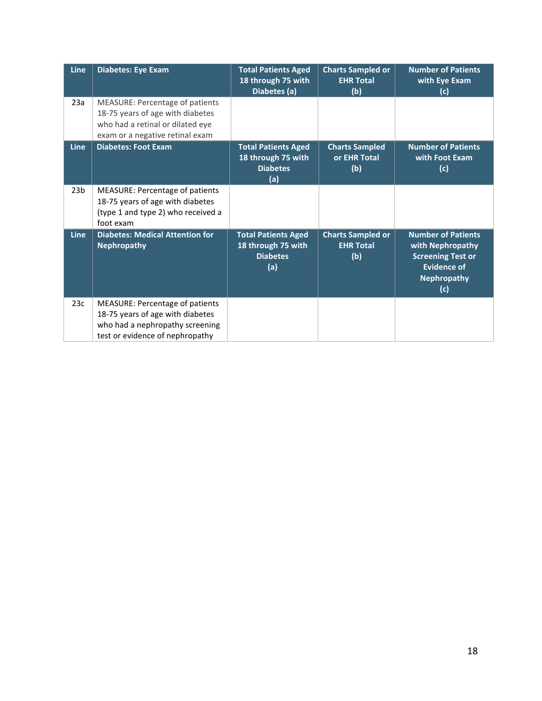| Line            | Diabetes: Eye Exam                                                                                                                         | <b>Total Patients Aged</b><br>18 through 75 with<br>Diabetes (a)           | <b>Charts Sampled or</b><br><b>EHR Total</b><br>(b) | <b>Number of Patients</b><br>with Eye Exam<br>(c)                                                                     |
|-----------------|--------------------------------------------------------------------------------------------------------------------------------------------|----------------------------------------------------------------------------|-----------------------------------------------------|-----------------------------------------------------------------------------------------------------------------------|
| 23a             | MEASURE: Percentage of patients<br>18-75 years of age with diabetes<br>who had a retinal or dilated eye<br>exam or a negative retinal exam |                                                                            |                                                     |                                                                                                                       |
| <b>Line</b>     | <b>Diabetes: Foot Exam</b>                                                                                                                 | <b>Total Patients Aged</b><br>18 through 75 with<br><b>Diabetes</b><br>(a) | <b>Charts Sampled</b><br>or EHR Total<br>(b)        | <b>Number of Patients</b><br>with Foot Exam<br>(c)                                                                    |
| 23 <sub>b</sub> | <b>MEASURE: Percentage of patients</b><br>18-75 years of age with diabetes<br>(type 1 and type 2) who received a<br>foot exam              |                                                                            |                                                     |                                                                                                                       |
| Line            | <b>Diabetes: Medical Attention for</b><br><b>Nephropathy</b>                                                                               | <b>Total Patients Aged</b><br>18 through 75 with<br><b>Diabetes</b><br>(a) | <b>Charts Sampled or</b><br><b>EHR Total</b><br>(b) | Number of Patients<br>with Nephropathy<br><b>Screening Test or</b><br><b>Evidence of</b><br><b>Nephropathy</b><br>(c) |
| 23c             | MEASURE: Percentage of patients<br>18-75 years of age with diabetes<br>who had a nephropathy screening<br>test or evidence of nephropathy  |                                                                            |                                                     |                                                                                                                       |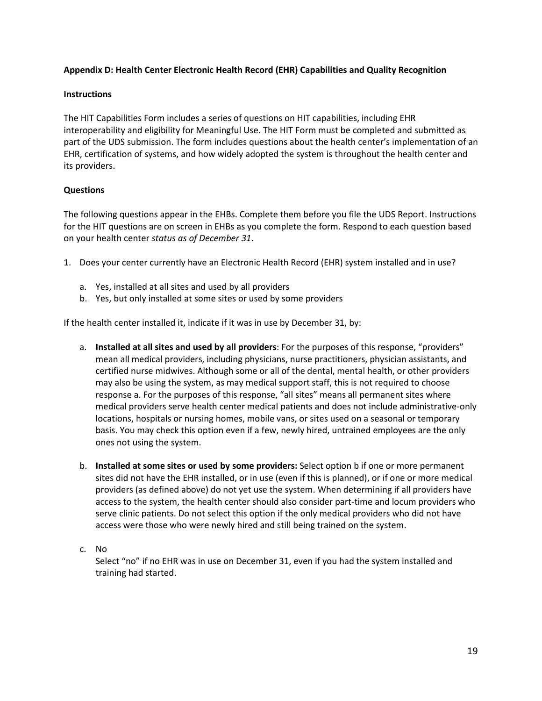# **Appendix D: Health Center Electronic Health Record (EHR) Capabilities and Quality Recognition**

## **Instructions**

The HIT Capabilities Form includes a series of questions on HIT capabilities, including EHR interoperability and eligibility for Meaningful Use. The HIT Form must be completed and submitted as part of the UDS submission. The form includes questions about the health center's implementation of an EHR, certification of systems, and how widely adopted the system is throughout the health center and its providers.

# **Questions**

The following questions appear in the EHBs. Complete them before you file the UDS Report. Instructions for the HIT questions are on screen in EHBs as you complete the form. Respond to each question based on your health center *status as of December 31*.

- 1. Does your center currently have an Electronic Health Record (EHR) system installed and in use?
	- a. Yes, installed at all sites and used by all providers
	- b. Yes, but only installed at some sites or used by some providers

If the health center installed it, indicate if it was in use by December 31, by:

- a. **Installed at all sites and used by all providers**: For the purposes of this response, "providers" mean all medical providers, including physicians, nurse practitioners, physician assistants, and certified nurse midwives. Although some or all of the dental, mental health, or other providers may also be using the system, as may medical support staff, this is not required to choose response a. For the purposes of this response, "all sites" means all permanent sites where medical providers serve health center medical patients and does not include administrative-only locations, hospitals or nursing homes, mobile vans, or sites used on a seasonal or temporary basis. You may check this option even if a few, newly hired, untrained employees are the only ones not using the system.
- b. **Installed at some sites or used by some providers:** Select option b if one or more permanent sites did not have the EHR installed, or in use (even if this is planned), or if one or more medical providers (as defined above) do not yet use the system. When determining if all providers have access to the system, the health center should also consider part-time and locum providers who serve clinic patients. Do not select this option if the only medical providers who did not have access were those who were newly hired and still being trained on the system.

## c. No

Select "no" if no EHR was in use on December 31, even if you had the system installed and training had started.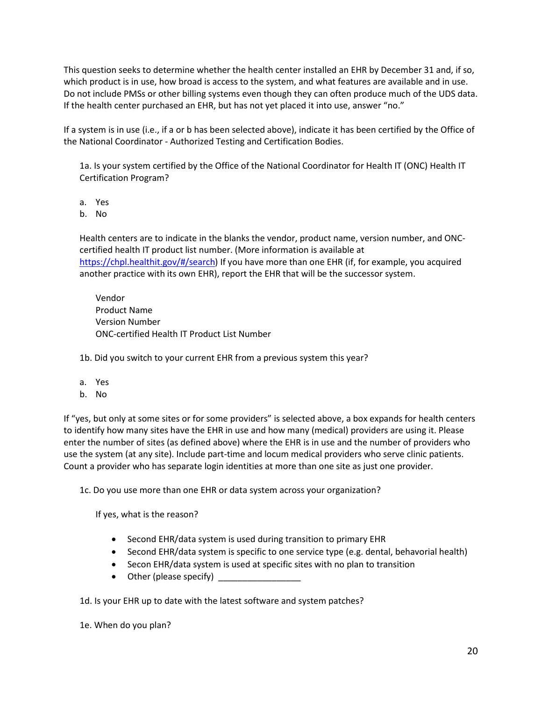This question seeks to determine whether the health center installed an EHR by December 31 and, if so, which product is in use, how broad is access to the system, and what features are available and in use. Do not include PMSs or other billing systems even though they can often produce much of the UDS data. If the health center purchased an EHR, but has not yet placed it into use, answer "no."

If a system is in use (i.e., if a or b has been selected above), indicate it has been certified by the Office of the National Coordinator - Authorized Testing and Certification Bodies.

1a. Is your system certified by the Office of the National Coordinator for Health IT (ONC) Health IT Certification Program?

a. Yes

b. No

Health centers are to indicate in the blanks the vendor, product name, version number, and ONCcertified health IT product list number. (More information is available at [https://chpl.healthit.gov/#/search\)](https://chpl.healthit.gov/#/search) If you have more than one EHR (if, for example, you acquired another practice with its own EHR), report the EHR that will be the successor system.

Vendor Product Name Version Number ONC-certified Health IT Product List Number

1b. Did you switch to your current EHR from a previous system this year?

- a. Yes
- b. No

If "yes, but only at some sites or for some providers" is selected above, a box expands for health centers to identify how many sites have the EHR in use and how many (medical) providers are using it. Please enter the number of sites (as defined above) where the EHR is in use and the number of providers who use the system (at any site). Include part-time and locum medical providers who serve clinic patients. Count a provider who has separate login identities at more than one site as just one provider.

1c. Do you use more than one EHR or data system across your organization?

If yes, what is the reason?

- Second EHR/data system is used during transition to primary EHR
- Second EHR/data system is specific to one service type (e.g. dental, behavorial health)
- Secon EHR/data system is used at specific sites with no plan to transition
- Other (please specify)

1d. Is your EHR up to date with the latest software and system patches?

1e. When do you plan?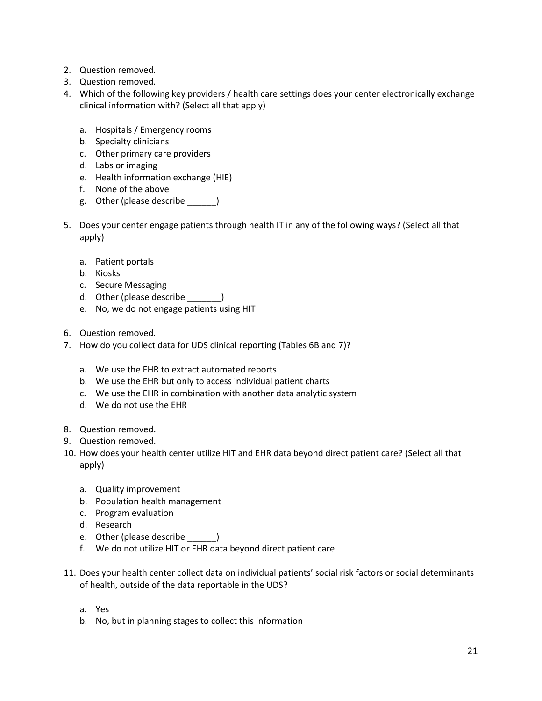- 2. Question removed.
- 3. Question removed.
- 4. Which of the following key providers / health care settings does your center electronically exchange clinical information with? (Select all that apply)
	- a. Hospitals / Emergency rooms
	- b. Specialty clinicians
	- c. Other primary care providers
	- d. Labs or imaging
	- e. Health information exchange (HIE)
	- f. None of the above
	- g. Other (please describe \_\_\_\_\_\_)
- 5. Does your center engage patients through health IT in any of the following ways? (Select all that apply)
	- a. Patient portals
	- b. Kiosks
	- c. Secure Messaging
	- d. Other (please describe \_\_\_\_\_\_\_\_)
	- e. No, we do not engage patients using HIT
- 6. Question removed.
- 7. How do you collect data for UDS clinical reporting (Tables 6B and 7)?
	- a. We use the EHR to extract automated reports
	- b. We use the EHR but only to access individual patient charts
	- c. We use the EHR in combination with another data analytic system
	- d. We do not use the EHR
- 8. Question removed.
- 9. Question removed.
- 10. How does your health center utilize HIT and EHR data beyond direct patient care? (Select all that apply)
	- a. Quality improvement
	- b. Population health management
	- c. Program evaluation
	- d. Research
	- e. Other (please describe )
	- f. We do not utilize HIT or EHR data beyond direct patient care
- 11. Does your health center collect data on individual patients' social risk factors or social determinants of health, outside of the data reportable in the UDS?
	- a. Yes
	- b. No, but in planning stages to collect this information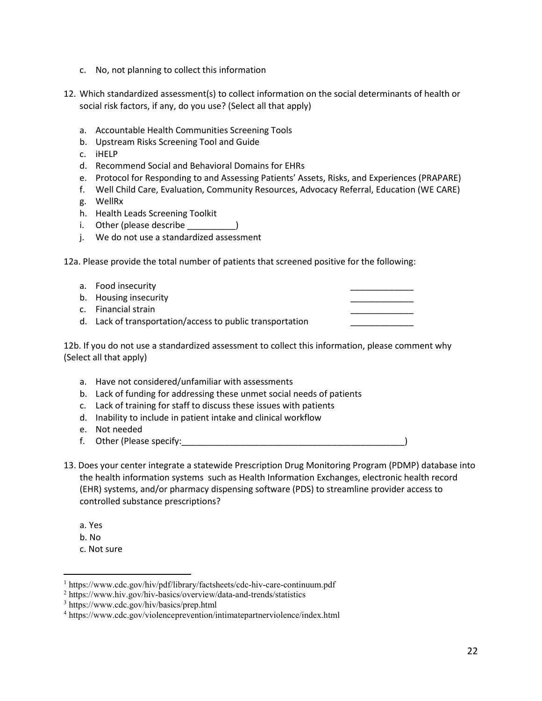- c. No, not planning to collect this information
- 12. Which standardized assessment(s) to collect information on the social determinants of health or social risk factors, if any, do you use? (Select all that apply)
	- a. Accountable Health Communities Screening Tools
	- b. Upstream Risks Screening Tool and Guide
	- c. iHELP
	- d. Recommend Social and Behavioral Domains for EHRs
	- e. Protocol for Responding to and Assessing Patients' Assets, Risks, and Experiences (PRAPARE)
	- f. Well Child Care, Evaluation, Community Resources, Advocacy Referral, Education (WE CARE)
	- g. WellRx
	- h. Health Leads Screening Toolkit
	- i. Other (please describe
	- j. We do not use a standardized assessment

12a. Please provide the total number of patients that screened positive for the following:

| a. Food insecurity                                        |  |
|-----------------------------------------------------------|--|
| b. Housing insecurity                                     |  |
| c. Financial strain                                       |  |
| d. Lack of transportation/access to public transportation |  |

12b. If you do not use a standardized assessment to collect this information, please comment why (Select all that apply)

- a. Have not considered/unfamiliar with assessments
- b. Lack of funding for addressing these unmet social needs of patients
- c. Lack of training for staff to discuss these issues with patients
- d. Inability to include in patient intake and clinical workflow
- e. Not needed
- f. Other (Please specify:\_\_\_\_\_\_\_\_\_\_\_\_\_\_\_\_\_\_\_\_\_\_\_\_\_\_\_\_\_\_\_\_\_\_\_\_\_\_\_\_\_\_\_\_\_\_)
- 13. Does your center integrate a statewide Prescription Drug Monitoring Program (PDMP) database into the health information systems such as Health Information Exchanges, electronic health record (EHR) systems, and/or pharmacy dispensing software (PDS) to streamline provider access to controlled substance prescriptions?
	- a. Yes
	- b. No

 $\overline{a}$ 

c. Not sure

<sup>1</sup> <https://www.cdc.gov/hiv/pdf/library/factsheets/cdc-hiv-care-continuum.pdf>

<sup>2</sup> <https://www.hiv.gov/hiv-basics/overview/data-and-trends/statistics>

<sup>3</sup> <https://www.cdc.gov/hiv/basics/prep.html>

<sup>4</sup> <https://www.cdc.gov/violenceprevention/intimatepartnerviolence/index.html>